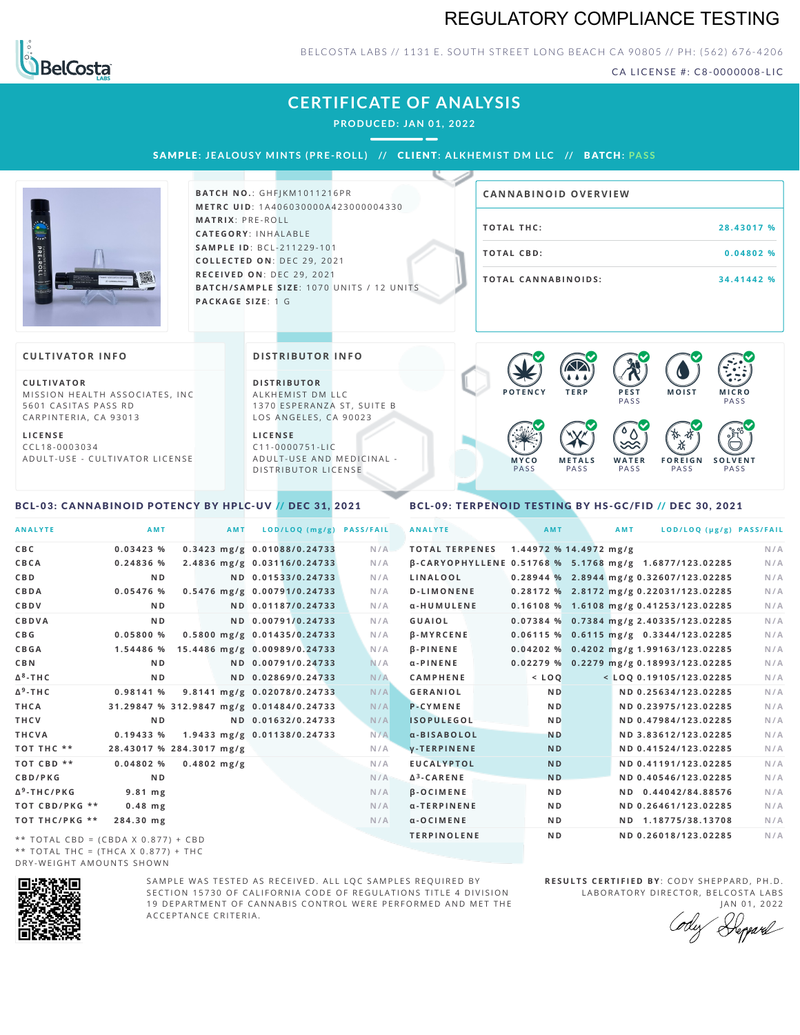# REGULATORY COMPLIANCE TESTING



### BELCOSTA LABS // 1131 E. SOUTH STREET LONG BEACH CA 90805 // PH: (562) 676-4206

CA LICENSE #: C8-0000008-LIC

**M O IS T M IC R O**

PA S S

# **CERTIFICATE OF ANALYSIS**

**PRODUCED: JAN 01, 2022**

SAMPLE: JEALOUSY MINTS (PRE-ROLL) // CLIENT: ALKHEMIST DM LLC // BATCH: PASS



**BATCH NO.: GHFJKM1011216PR M E T R C U ID** :1 A 4 0 6 0 3 0 0 0 0 A 4 2 3 0 0 0 0 0 4 3 3 0 **M AT R I X** :P R E - R O L L **CAT E G O R Y** : I N H A L A B L E **SA M P L E I D** :B C L - 2 1 1 2 2 9 - 1 0 1 **C O L L E C T E D O N** :D E C 2 9 , 2 0 2 1 **R E C E I V E D O N** : D E C 2 9 , 2 0 2 1 **BATCH/SAMPLE SIZE:** 1070 UNITS / 12 UNITS **PAC KA G E S I Z E** : 1 G

| <b>CANNABINOID OVERVIEW</b> |            |
|-----------------------------|------------|
| TOTAL THC:                  | 28.43017 % |
| TOTAL CBD:                  | 0.04802%   |
| TOTAL CANNABINOIDS:         | 34.41442 % |

#### **CULTIVATOR I N FO**

**C U L T I VAT O R** MISSION HEALTH ASSOCIATES, INC 5601 CASITAS PASS RD CARPINTERIA, CA 93013

**L I C E N S E** C C L 1 8 - 0 0 0 3 0 3 4 A D U L T - U S E - C U L T I V A T O R L I C E N S E **DI STRIBUTOR I N FO**

**D I S T R IB U T O R** ALKHEMIST DM LLC 1370 ESPERANZA ST, SUITE B LOS ANGELES, CA 90023

**L I C E N S E**  $C11 - 0000751 - L$ A D U L T - U S E A N D M E D I C I N A L -DISTRIBUTOR LICENSE

#### **M Y C O** PA S S **M E T A L S** PA S S **W A T E R** PA S S **F O R E I G N PASS S O L V E N T** PA S S  $\bullet$  6.0 6.0 6.0

**P O T E N C Y T E R P P E S T**

**PASS** 

 $\bullet$  60 60 60 60

#### <span id="page-0-0"></span>BCL-03: CANNABINOID POTENCY BY HPLC-UV // DEC 31, 2021

### <span id="page-0-1"></span>BCL-09: TERPENOID TESTING BY HS-GC/FID // DEC 30, 2021

| <b>ANALYTE</b>                      | AMT                                      | AMT           | LOD/LOQ (mg/g)               | <b>PASS/FAIL</b> | <b>ANALYTE</b>                                         |         | AMT            |                        | AMT |                                           | LOD/LOQ (µg/g) PASS/FAIL |
|-------------------------------------|------------------------------------------|---------------|------------------------------|------------------|--------------------------------------------------------|---------|----------------|------------------------|-----|-------------------------------------------|--------------------------|
| C B C                               | 0.03423%                                 |               | 0.3423 mg/g 0.01088/0.24733  | N/A              | <b>TOTAL TERPENES</b>                                  |         |                | 1.44972 % 14.4972 mg/g |     |                                           | N/A                      |
| CBCA                                | 0.24836 %                                |               | 2.4836 mg/g 0.03116/0.24733  | N/A              | B-CARYOPHYLLENE 0.51768 % 5.1768 mg/g 1.6877/123.02285 |         |                |                        |     |                                           | N/A                      |
| C B D                               | N <sub>D</sub>                           |               | ND 0.01533/0.24733           | N/A              | LINALOOL                                               |         |                |                        |     | $0.28944$ % 2.8944 mg/g 0.32607/123.02285 | N/A                      |
| CBDA                                | 0.05476 %                                |               | 0.5476 mg/g 0.00791/0.24733  | N/A              | <b>D-LIMONENE</b>                                      |         |                |                        |     | 0.28172 % 2.8172 mg/g 0.22031/123.02285   | N/A                      |
| CBDV                                | N <sub>D</sub>                           |               | ND 0.01187/0.24733           | N/A              | α-HUMULENE                                             |         |                |                        |     | 0.16108 % 1.6108 mg/g 0.41253/123.02285   | N/A                      |
| CBDVA                               | N <sub>D</sub>                           |               | ND 0.00791/0.24733           | N/A              | GUAIOL                                                 |         |                |                        |     | 0.07384 % 0.7384 mg/g 2.40335/123.02285   | N/A                      |
| C B G                               | 0.05800%                                 |               | 0.5800 mg/g 0.01435/0.24733  | N/A              | <b>B-MYRCENE</b>                                       |         |                |                        |     | $0.06115$ % 0.6115 mg/g 0.3344/123.02285  | N/A                      |
| <b>CBGA</b>                         | 1.54486 %                                |               | 15.4486 mg/g 0.00989/0.24733 | N/A              | <b>B-PINENE</b>                                        |         |                |                        |     | 0.04202 % 0.4202 mg/g 1.99163/123.02285   | N/A                      |
| C B N                               | N <sub>D</sub>                           |               | ND 0.00791/0.24733           | N/A              | $\alpha$ -PINENE                                       |         |                |                        |     | 0.02279 % 0.2279 mg/g 0.18993/123.02285   | N/A                      |
| Δ <sup>8</sup> -ΤΗ C                | N <sub>D</sub>                           |               | ND 0.02869/0.24733           | N/A              | <b>CAMPHENE</b>                                        | $<$ LOO |                |                        |     | < LOQ 0.19105/123.02285                   | N/A                      |
| Δ <sup>9</sup> -ΤΗ C                | 0.98141 %                                |               | 9.8141 mg/g 0.02078/0.24733  | N/A              | <b>GERANIOL</b>                                        |         | <b>ND</b>      |                        |     | ND 0.25634/123.02285                      | N/A                      |
| THCA                                | 31.29847 % 312.9847 mg/g 0.01484/0.24733 |               |                              | N/A              | <b>P-CYMENE</b>                                        |         | <b>ND</b>      |                        |     | ND 0.23975/123.02285                      | N/A                      |
| THCV                                | N <sub>D</sub>                           |               | ND 0.01632/0.24733           | N/A              | <b>ISOPULEGOL</b>                                      |         | <b>ND</b>      |                        |     | ND 0.47984/123.02285                      | N/A                      |
| THCVA                               | 0.19433 %                                |               | 1.9433 mg/g 0.01138/0.24733  | N/A              | a-BISABOLOL                                            |         | <b>ND</b>      |                        |     | ND 3.83612/123.02285                      | N/A                      |
| тот тнс **                          | 28.43017 % 284.3017 mg/g                 |               |                              | N/A              | <b>V-TERPINENE</b>                                     |         | <b>ND</b>      |                        |     | ND 0.41524/123.02285                      | N/A                      |
| TOT CBD **                          | 0.04802%                                 | $0.4802$ mg/g |                              | N/A              | <b>EUCALYPTOL</b>                                      |         | <b>ND</b>      |                        |     | ND 0.41191/123.02285                      | N/A                      |
| <b>CBD/PKG</b>                      | N <sub>D</sub>                           |               |                              | N/A              | $\Delta^3$ -CARENE                                     |         | <b>ND</b>      |                        |     | ND 0.40546/123.02285                      | N/A                      |
| Δ <sup>9</sup> -ΤΗ C / P K G        | $9.81$ mg                                |               |                              | N/A              | <b>B-OCIMENE</b>                                       |         | N <sub>D</sub> |                        |     | ND 0.44042/84.88576                       | N/A                      |
| ТОТ СВD/РКG **                      | $0.48$ mg                                |               |                              | N/A              | α-TERPINENE                                            |         | N <sub>D</sub> |                        |     | ND 0.26461/123.02285                      | N/A                      |
| ТОТ ТНС/РКG **                      | 284.30 mg                                |               |                              | N/A              | $\alpha$ -OCIMENE                                      |         | N D            |                        |     | ND 1.18775/38.13708                       | N/A                      |
| ** TOTAL CBD = (CBDA X 0.877) + CBD |                                          |               |                              |                  | <b>TERPINOLENE</b>                                     |         | N <sub>D</sub> |                        |     | ND 0.26018/123.02285                      | N/A                      |
|                                     |                                          |               |                              |                  |                                                        |         |                |                        |     |                                           |                          |

\*\* TOTAL THC = (THCA X  $0.877$ ) + THC DRY-WEIGHT AMOUNTS SHOWN



SAMPLE WAS TESTED AS RECEIVED. ALL LOC SAMPLES REOUIRED BY SECTION 15730 OF CALIFORNIA CODE OF REGULATIONS TITLE 4 DIVISION 19 DEPARTMENT OF CANNABIS CONTROL WERE PERFORMED AND MET THE A C C E P T A N C E C R I T E R I A.

**RESULTS CERTIFIED BY: CODY SHEPPARD, PH.D.** LABORATORY DIRECTOR, BELCOSTA LABS JAN 01, 2022

Depard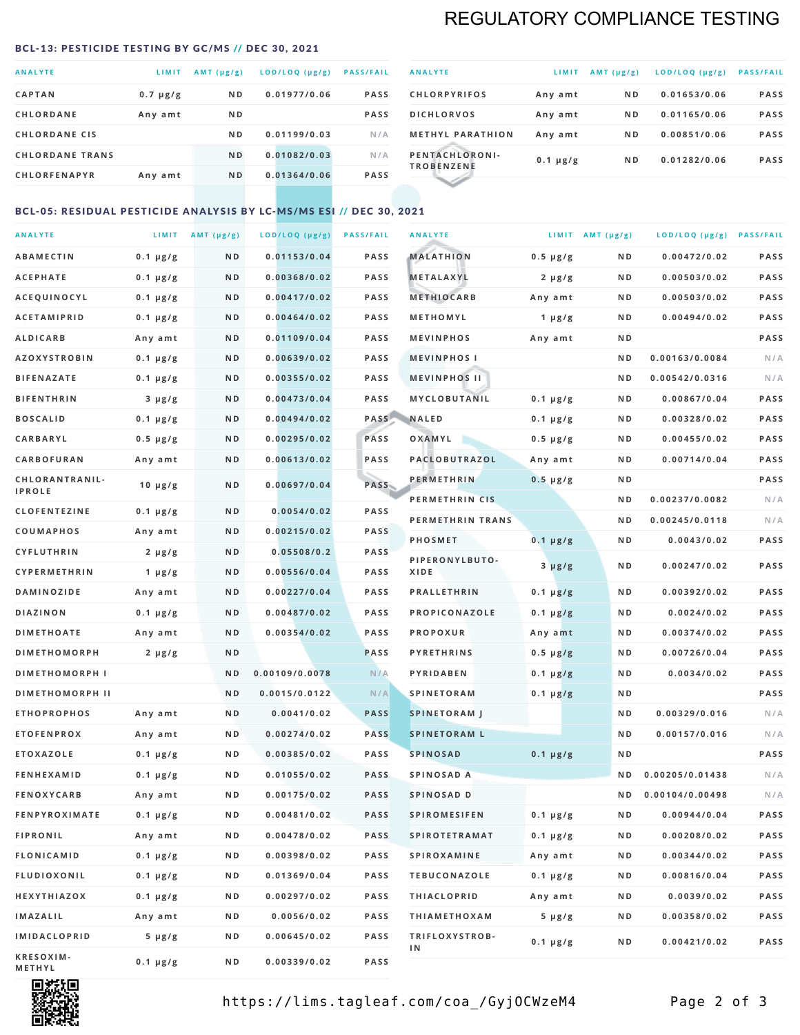# REGULATORY COMPLIANCE TESTING

#### <span id="page-1-0"></span>BCL-13: PESTICIDE TESTING BY GC/MS // DEC 30, 2021

| <b>ANALYTE</b><br>$AMT$ ( $\mu g/g$ )<br>LOD/LOQ (µg/g)<br>LIMIT<br>CAPTAN<br>0.01977/0.06<br>ND.<br>$0.7 \mu g/g$<br>CHLORDANE<br>N <sub>D</sub><br>Any amt<br><b>CHLORDANE CIS</b><br>0.01199/0.03<br>ND.<br>0.01082/0.03<br><b>CHLORDANE TRANS</b><br>N <sub>D</sub><br><b>CHLORFENAPYR</b><br>0.01364/0.06<br>ND.<br>Any amt |  |  |                  |
|----------------------------------------------------------------------------------------------------------------------------------------------------------------------------------------------------------------------------------------------------------------------------------------------------------------------------------|--|--|------------------|
|                                                                                                                                                                                                                                                                                                                                  |  |  | <b>PASS/FAIL</b> |
|                                                                                                                                                                                                                                                                                                                                  |  |  | <b>PASS</b>      |
|                                                                                                                                                                                                                                                                                                                                  |  |  | <b>PASS</b>      |
|                                                                                                                                                                                                                                                                                                                                  |  |  | N/A              |
|                                                                                                                                                                                                                                                                                                                                  |  |  | N/A              |
|                                                                                                                                                                                                                                                                                                                                  |  |  | <b>PASS</b>      |

| <b>ANALYTE</b>                      | LIMIT         | $AMT (\mu g/g)$ | LOD/LOQ (µg/g) | <b>PASS/FAIL</b> |
|-------------------------------------|---------------|-----------------|----------------|------------------|
| <b>CHLORPYRIFOS</b>                 | Any amt       | N <sub>D</sub>  | 0.01653/0.06   | <b>PASS</b>      |
| <b>DICHLORVOS</b>                   | Any amt       | N <sub>D</sub>  | 0.01165/0.06   | <b>PASS</b>      |
| <b>METHYL PARATHION</b>             | Any amt       | N <sub>D</sub>  | 0.00851/0.06   | <b>PASS</b>      |
| PENTACHLORONI-<br><b>TROBENZENE</b> | $0.1 \mu g/g$ | N <sub>D</sub>  | 0.01282/0.06   | <b>PASS</b>      |
|                                     |               |                 |                |                  |

## BCL-05: RESIDUAL PESTICIDE ANALYSIS BY LC-MS/MS ESI // DEC 30, 2021

| <b>ANALYTE</b>             |               | LIMIT $AMT(\mu g/g)$ | LOD/LOQ (µg/g) | <b>PASS/FAIL</b> | <b>ANALYTE</b>       |                  | LIMIT AMT $(\mu g/g)$ | LOD/LOQ (µg/g) PASS/FAIL |      |
|----------------------------|---------------|----------------------|----------------|------------------|----------------------|------------------|-----------------------|--------------------------|------|
| <b>ABAMECTIN</b>           | $0.1 \mu g/g$ | N D                  | 0.01153/0.04   | <b>PASS</b>      | <b>MALATHION</b>     | $0.5 \mu g/g$    | N D                   | 0.00472/0.02             | PASS |
| <b>ACEPHATE</b>            | $0.1 \mu g/g$ | N D                  | 0.00368/0.02   | <b>PASS</b>      | <b>METALAXYL</b>     | $2 \mu g/g$      | N D                   | 0.00503/0.02             | PASS |
| ACEQUINOCYL                | $0.1 \mu g/g$ | N D                  | 0.00417/0.02   | <b>PASS</b>      | <b>METHIOCARB</b>    | Any amt          | N D                   | 0.00503/0.02             | PASS |
| <b>ACETAMIPRID</b>         | $0.1 \mu g/g$ | N D                  | 0.00464/0.02   | <b>PASS</b>      | METHOMYL             | 1 $\mu$ g/g      | N D                   | 0.00494/0.02             | PASS |
| <b>ALDICARB</b>            | Any amt       | N D                  | 0.01109/0.04   | <b>PASS</b>      | <b>MEVINPHOS</b>     | Any amt          | N D                   |                          | PASS |
| <b>AZOXYSTROBIN</b>        | $0.1 \mu g/g$ | N D                  | 0.00639/0.02   | <b>PASS</b>      | <b>MEVINPHOSI</b>    |                  | N D                   | 0.00163/0.0084           | N/A  |
| <b>BIFENAZATE</b>          | $0.1 \mu g/g$ | N D                  | 0.00355/0.02   | <b>PASS</b>      | <b>MEVINPHOS II</b>  |                  | N D                   | 0.00542/0.0316           | N/A  |
| <b>BIFENTHRIN</b>          | $3 \mu g/g$   | N D                  | 0.00473/0.04   | <b>PASS</b>      | <b>MYCLOBUTANIL</b>  | $0.1 \mu g/g$    | N D                   | 0.00867/0.04             | PASS |
| <b>BOSCALID</b>            | $0.1 \mu g/g$ | N D                  | 0.00494/0.02   | PASS             | <b>NALED</b>         | $0.1 \mu g/g$    | N D                   | 0.00328/0.02             | PASS |
| CARBARYL                   | $0.5 \mu g/g$ | N D                  | 0.00295/0.02   | PASS             | OXAMYL               | $0.5 \, \mu g/g$ | N D                   | 0.00455/0.02             | PASS |
| CARBOFURAN                 | Any amt       | N D                  | 0.00613/0.02   | <b>PASS</b>      | PACLOBUTRAZOL        | Any amt          | N D                   | 0.00714/0.04             | PASS |
| CHLORANTRANIL-             | $10 \mu g/g$  | N D                  | 0.00697/0.04   | PASS             | <b>PERMETHRIN</b>    | $0.5 \mu g/g$    | N D                   |                          | PASS |
| <b>IPROLE</b>              |               |                      |                |                  | PERMETHRIN CIS       |                  | N D                   | 0.00237/0.0082           | N/A  |
| <b>CLOFENTEZINE</b>        | $0.1 \mu g/g$ | N D                  | 0.0054/0.02    | <b>PASS</b>      | PERMETHRIN TRANS     |                  | N D                   | 0.00245/0.0118           | N/A  |
| <b>COUMAPHOS</b>           | Any amt       | N D                  | 0.00215/0.02   | <b>PASS</b>      | <b>PHOSMET</b>       | $0.1 \, \mu g/g$ | N D                   | 0.0043/0.02              | PASS |
| <b>CYFLUTHRIN</b>          | $2 \mu g/g$   | N D                  | 0.05508/0.2    | <b>PASS</b>      | PIPERONYLBUTO-       | $3 \mu g/g$      | N D                   | 0.00247/0.02             | PASS |
| CYPERMETHRIN               | 1 $\mu$ g/g   | N D                  | 0.00556/0.04   | <b>PASS</b>      | XIDE                 |                  |                       |                          |      |
| <b>DAMINOZIDE</b>          | Any amt       | N D                  | 0.00227/0.04   | <b>PASS</b>      | <b>PRALLETHRIN</b>   | $0.1 \mu g/g$    | N D                   | 0.00392/0.02             | PASS |
| <b>DIAZINON</b>            | $0.1 \mu g/g$ | N D                  | 0.00487/0.02   | <b>PASS</b>      | PROPICONAZOLE        | $0.1 \mu g/g$    | N D                   | 0.0024/0.02              | PASS |
| <b>DIMETHOATE</b>          | Any amt       | N D                  | 0.00354/0.02   | <b>PASS</b>      | <b>PROPOXUR</b>      | Any amt          | N D                   | 0.00374/0.02             | PASS |
| <b>DIMETHOMORPH</b>        | $2 \mu g/g$   | ND                   |                | PASS             | <b>PYRETHRINS</b>    | $0.5 \mu g/g$    | N D                   | 0.00726/0.04             | PASS |
| <b>DIMETHOMORPH I</b>      |               | ND                   | 0.00109/0.0078 | N/A              | <b>PYRIDABEN</b>     | $0.1 \mu g/g$    | N D                   | 0.0034/0.02              | PASS |
| <b>DIMETHOMORPH II</b>     |               | ND                   | 0.0015/0.0122  | N/A              | <b>SPINETORAM</b>    | $0.1 \mu g/g$    | N D                   |                          | PASS |
| <b>ETHOPROPHOS</b>         | Any amt       | N D                  | 0.0041/0.02    | <b>PASS</b>      | <b>SPINETORAM J</b>  |                  | N D                   | 0.00329/0.016            | N/A  |
| <b>ETOFENPROX</b>          | Any amt       | N D                  | 0.00274/0.02   | <b>PASS</b>      | <b>SPINETORAM L</b>  |                  | N D                   | 0.00157/0.016            | N/A  |
| <b>ETOXAZOLE</b>           | $0.1 \mu g/g$ | N D                  | 0.00385/0.02   | <b>PASS</b>      | <b>SPINOSAD</b>      | $0.1 \mu g/g$    | N D                   |                          | PASS |
| <b>FENHEXAMID</b>          | $0.1 \mu g/g$ | N D                  | 0.01055/0.02   | <b>PASS</b>      | SPINOSAD A           |                  | N D                   | 0.00205/0.01438          | N/A  |
| <b>FENOXYCARB</b>          | Any amt       | N D                  | 0.00175/0.02   | <b>PASS</b>      | SPINOSAD D           |                  | ND.                   | 0.00104/0.00498          | N/A  |
| <b>FENPYROXIMATE</b>       | $0.1 \mu g/g$ | N D                  | 0.00481/0.02   | <b>PASS</b>      | <b>SPIROMESIFEN</b>  | $0.1 \, \mu g/g$ | N D                   | 0.00944/0.04             | PASS |
| <b>FIPRONIL</b>            | Any amt       | N D                  | 0.00478/0.02   | PASS             | <b>SPIROTETRAMAT</b> | $0.1 \mu g/g$    | N D                   | 0.00208/0.02             | PASS |
| <b>FLONICAMID</b>          | $0.1 \mu g/g$ | N D                  | 0.00398/0.02   | PASS             | <b>SPIROXAMINE</b>   | Any amt          | N D                   | 0.00344/0.02             | PASS |
| FLUDIOXONIL                | $0.1 \mu g/g$ | N D                  | 0.01369/0.04   | PASS             | <b>TEBUCONAZOLE</b>  | $0.1 \mu g/g$    | N D                   | 0.00816/0.04             | PASS |
| HEXYTHIAZOX                | 0.1 µg/g      | N D                  | 0.00297/0.02   | PASS             | <b>THIACLOPRID</b>   | Any amt          | N D                   | 0.0039/0.02              | PASS |
| <b>IMAZALIL</b>            | Any amt       | N D                  | 0.0056/0.02    | PASS             | <b>THIAMETHOXAM</b>  | $5 \mu g/g$      | N D                   | 0.00358/0.02             | PASS |
| <b>IMIDACLOPRID</b>        | $5 \mu g/g$   | N D                  | 0.00645/0.02   | PASS             | TRIFLOXYSTROB-<br>1N | $0.1 \mu g/g$    | N D                   | 0.00421/0.02             | PASS |
| KRESOXIM-<br><b>METHYL</b> | $0.1 \mu g/g$ | N D                  | 0.00339/0.02   | PASS             |                      |                  |                       |                          |      |